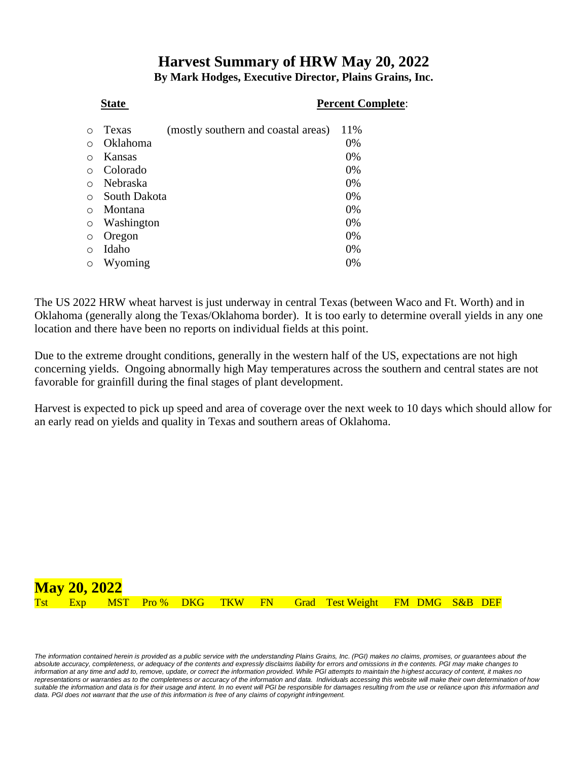# **Harvest Summary of HRW May 20, 2022 By Mark Hodges, Executive Director, Plains Grains, Inc.**

### **State** Percent Complete:

|         | Texas        | (mostly southern and coastal areas) | 11%   |
|---------|--------------|-------------------------------------|-------|
|         | Oklahoma     |                                     | 0%    |
| ∩       | Kansas       |                                     | 0%    |
|         | Colorado     |                                     | 0%    |
|         | Nebraska     |                                     | 0%    |
| ∩       | South Dakota |                                     | 0%    |
| ∩       | Montana      |                                     | 0%    |
| $\circ$ | Washington   |                                     | 0%    |
| O       | Oregon       |                                     | 0%    |
| ∩       | Idaho        |                                     | 0%    |
| O       | Wyoming      |                                     | $0\%$ |

The US 2022 HRW wheat harvest is just underway in central Texas (between Waco and Ft. Worth) and in Oklahoma (generally along the Texas/Oklahoma border). It is too early to determine overall yields in any one location and there have been no reports on individual fields at this point.

Due to the extreme drought conditions, generally in the western half of the US, expectations are not high concerning yields. Ongoing abnormally high May temperatures across the southern and central states are not favorable for grainfill during the final stages of plant development.

Harvest is expected to pick up speed and area of coverage over the next week to 10 days which should allow for an early read on yields and quality in Texas and southern areas of Oklahoma.



The information contained herein is provided as a public service with the understanding Plains Grains, Inc. (PGI) makes no claims, promises, or guarantees about the *absolute accuracy, completeness, or adequacy of the contents and expressly disclaims liability for errors and omissions in the contents. PGI may make changes to information at any time and add to, remove, update, or correct the information provided. While PGI attempts to maintain the highest accuracy of content, it makes no representations or warranties as to the completeness or accuracy of the information and data. Individuals accessing this website will make their own determination of how*  suitable the information and data is for their usage and intent. In no event will PGI be responsible for damages resulting from the use or reliance upon this information and data. PGI does not warrant that the use of this information is free of any claims of copyright infringement.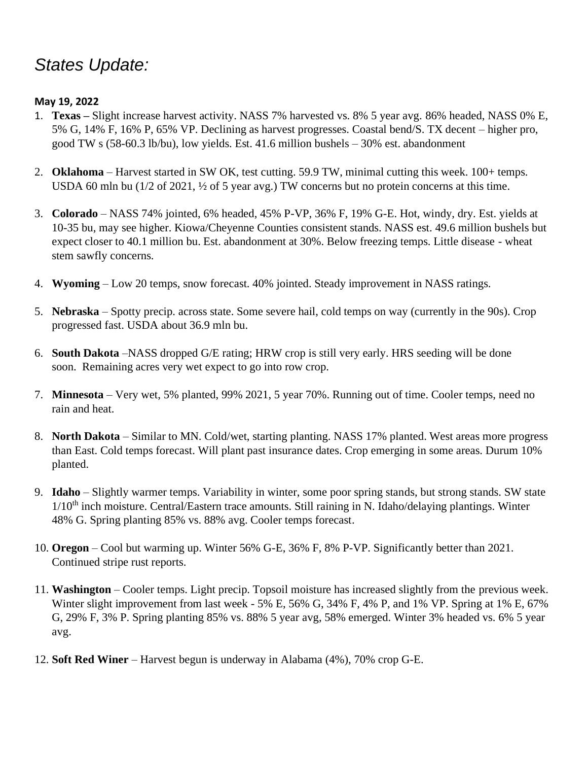# *States Update:*

## **May 19, 2022**

- 1. **Texas –** Slight increase harvest activity. NASS 7% harvested vs. 8% 5 year avg. 86% headed, NASS 0% E, 5% G, 14% F, 16% P, 65% VP. Declining as harvest progresses. Coastal bend/S. TX decent – higher pro, good TW s (58-60.3 lb/bu), low yields. Est. 41.6 million bushels – 30% est. abandonment
- 2. **Oklahoma**  Harvest started in SW OK, test cutting. 59.9 TW, minimal cutting this week. 100+ temps. USDA 60 mln bu (1/2 of 2021, ½ of 5 year avg.) TW concerns but no protein concerns at this time.
- 3. **Colorado** NASS 74% jointed, 6% headed, 45% P-VP, 36% F, 19% G-E. Hot, windy, dry. Est. yields at 10-35 bu, may see higher. Kiowa/Cheyenne Counties consistent stands. NASS est. 49.6 million bushels but expect closer to 40.1 million bu. Est. abandonment at 30%. Below freezing temps. Little disease - wheat stem sawfly concerns.
- 4. **Wyoming** Low 20 temps, snow forecast. 40% jointed. Steady improvement in NASS ratings.
- 5. **Nebraska** Spotty precip. across state. Some severe hail, cold temps on way (currently in the 90s). Crop progressed fast. USDA about 36.9 mln bu.
- 6. **South Dakota** –NASS dropped G/E rating; HRW crop is still very early. HRS seeding will be done soon. Remaining acres very wet expect to go into row crop.
- 7. **Minnesota** Very wet, 5% planted, 99% 2021, 5 year 70%. Running out of time. Cooler temps, need no rain and heat.
- 8. **North Dakota** Similar to MN. Cold/wet, starting planting. NASS 17% planted. West areas more progress than East. Cold temps forecast. Will plant past insurance dates. Crop emerging in some areas. Durum 10% planted.
- 9. **Idaho** Slightly warmer temps. Variability in winter, some poor spring stands, but strong stands. SW state 1/10<sup>th</sup> inch moisture. Central/Eastern trace amounts. Still raining in N. Idaho/delaying plantings. Winter 48% G. Spring planting 85% vs. 88% avg. Cooler temps forecast.
- 10. **Oregon** Cool but warming up. Winter 56% G-E, 36% F, 8% P-VP. Significantly better than 2021. Continued stripe rust reports.
- 11. **Washington** Cooler temps. Light precip. Topsoil moisture has increased slightly from the previous week. Winter slight improvement from last week - 5% E, 56% G, 34% F, 4% P, and 1% VP. Spring at 1% E, 67% G, 29% F, 3% P. Spring planting 85% vs. 88% 5 year avg, 58% emerged. Winter 3% headed vs. 6% 5 year avg.
- 12. **Soft Red Winer** Harvest begun is underway in Alabama (4%), 70% crop G-E.